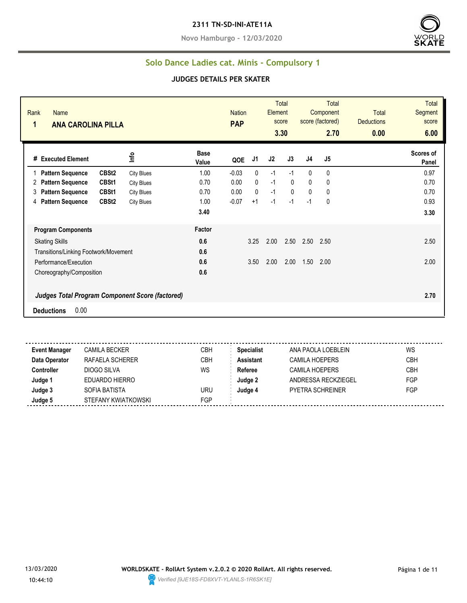#### **2311 TN-SD-INI-ATE11A**

**Novo Hamburgo - 12/03/2020**



### **Solo Dance Ladies cat. Minis - Compulsory 1**

#### **JUDGES DETAILS PER SKATER**

| Rank<br><b>Name</b><br>1<br><b>ANA CAROLINA PILLA</b> |                   |                   |                      | <b>Nation</b><br><b>PAP</b> |              | <b>Element</b> | <b>Total</b><br>score<br>3.30 |                | <b>Total</b><br>Component<br>score (factored)<br>2.70 | <b>Total</b><br><b>Deductions</b><br>0.00 | <b>Total</b><br><b>Segment</b><br>score<br>6.00 |
|-------------------------------------------------------|-------------------|-------------------|----------------------|-----------------------------|--------------|----------------|-------------------------------|----------------|-------------------------------------------------------|-------------------------------------------|-------------------------------------------------|
| # Executed Element                                    |                   | Info              | <b>Base</b><br>Value | QOE                         | J1           | J <sub>2</sub> | J3                            | J <sub>4</sub> | J5                                                    |                                           | Scores of<br>Panel                              |
| <b>Pattern Sequence</b>                               | CBSt <sub>2</sub> | <b>City Blues</b> | 1.00                 | $-0.03$                     | $\mathbf{0}$ | $-1$           | $-1$                          | $\mathbf{0}$   | 0                                                     |                                           | 0.97                                            |
| <b>Pattern Sequence</b><br>2                          | CBSt1             | <b>City Blues</b> | 0.70                 | 0.00                        | $\mathbf{0}$ | $-1$           | $\Omega$                      | $\mathbf{0}$   | 0                                                     |                                           | 0.70                                            |
| <b>Pattern Sequence</b><br>3                          | CBSt1             | <b>City Blues</b> | 0.70                 | 0.00                        | $\mathbf{0}$ | $-1$           | $\mathbf{0}$                  | $\mathbf{0}$   | 0                                                     |                                           | 0.70                                            |
| <b>Pattern Sequence</b><br>4                          | CBSt <sub>2</sub> | <b>City Blues</b> | 1.00                 | $-0.07$                     | $+1$         | $-1$           | $-1$                          | $-1$           | $\mathbf{0}$                                          |                                           | 0.93                                            |
|                                                       |                   |                   | 3.40                 |                             |              |                |                               |                |                                                       |                                           | 3.30                                            |
| <b>Program Components</b>                             |                   |                   | Factor               |                             |              |                |                               |                |                                                       |                                           |                                                 |
| <b>Skating Skills</b>                                 |                   |                   | 0.6                  |                             | 3.25         | 2.00           | 2.50                          | 2.50           | 2.50                                                  |                                           | 2.50                                            |
| Transitions/Linking Footwork/Movement                 |                   |                   | 0.6                  |                             |              |                |                               |                |                                                       |                                           |                                                 |
| Performance/Execution                                 |                   |                   | 0.6                  |                             | 3.50         | 2.00           | 2.00                          | 1.50           | 2.00                                                  |                                           | 2.00                                            |
| Choreography/Composition                              |                   |                   | 0.6                  |                             |              |                |                               |                |                                                       |                                           |                                                 |
| Judges Total Program Component Score (factored)       |                   |                   |                      |                             |              |                |                               |                |                                                       |                                           | 2.70                                            |
| 0.00<br><b>Deductions</b>                             |                   |                   |                      |                             |              |                |                               |                |                                                       |                                           |                                                 |

<u>. . . . . . . .</u> ------**Event Manager** CAMILA BECKER CBH **Specialist** ANA PAOLA LOEBLEIN WS **Data Operator** RAFAELA SCHERER CBH **Assistant** CAMILA HOEPERS CBH **Controller** DIOGO SILVA WS **Referee** CAMILA HOEPERS CBH **Judge 1** EDUARDO HIERRO **Judge 2** ANDRESSA RECKZIEGEL FGP **Judge 3** SOFIA BATISTA URU **Judge 4** PYETRA SCHREINER FGP **Judge 5** STEFANY KWIATKOWSKI FGP

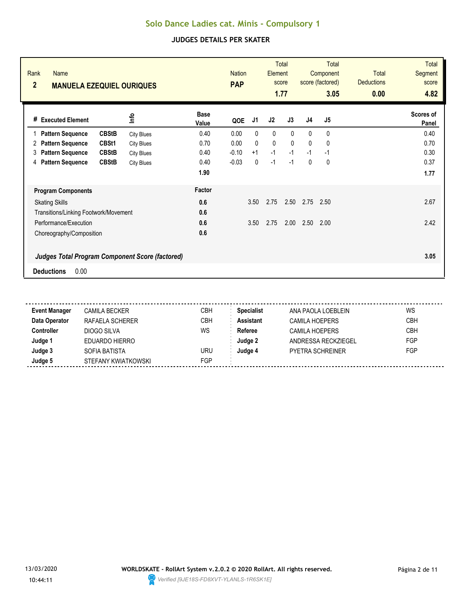| Rank<br><b>Name</b><br>$\overline{2}$<br><b>MANUELA EZEQUIEL OURIQUES</b> |                   |                      | <b>PAP</b> | <b>Nation</b> |              | <b>Total</b><br>Element<br>score<br>1.77 | <b>Total</b><br>Component<br>score (factored)<br>3.05 |      | <b>Total</b><br><b>Deductions</b><br>0.00 | <b>Total</b><br>Segment<br>score<br>4.82 |
|---------------------------------------------------------------------------|-------------------|----------------------|------------|---------------|--------------|------------------------------------------|-------------------------------------------------------|------|-------------------------------------------|------------------------------------------|
| <b>Executed Element</b><br>#                                              | lnfo              | <b>Base</b><br>Value | QOE        | J1            | J2           | J3                                       | J <sub>4</sub>                                        | J5   |                                           | Scores of<br>Panel                       |
| <b>CBStB</b><br><b>Pattern Sequence</b><br>1                              | <b>City Blues</b> | 0.40                 | 0.00       | $\mathbf{0}$  | 0            | $\mathbf{0}$                             | $\mathbf{0}$                                          | 0    |                                           | 0.40                                     |
| CBSt1<br><b>Pattern Sequence</b><br>2                                     | <b>City Blues</b> | 0.70                 | 0.00       | $\mathbf{0}$  | $\mathbf{0}$ | $\mathbf{0}$                             | $\mathbf{0}$                                          | 0    |                                           | 0.70                                     |
| <b>Pattern Sequence</b><br><b>CBStB</b><br>3                              | <b>City Blues</b> | 0.40                 | $-0.10$    | $+1$          | $-1$         | $-1$                                     | $-1$                                                  | $-1$ |                                           | 0.30                                     |
| <b>Pattern Sequence</b><br><b>CBStB</b><br>4                              | <b>City Blues</b> | 0.40                 | $-0.03$    | 0             | $-1$         | $-1$                                     | 0                                                     | 0    |                                           | 0.37                                     |
|                                                                           |                   | 1.90                 |            |               |              |                                          |                                                       |      |                                           | 1.77                                     |
| <b>Program Components</b>                                                 |                   | Factor               |            |               |              |                                          |                                                       |      |                                           |                                          |
| <b>Skating Skills</b>                                                     |                   | 0.6                  |            | 3.50          | 2.75         | 2.50                                     | 2.75                                                  | 2.50 |                                           | 2.67                                     |
| Transitions/Linking Footwork/Movement                                     |                   | 0.6                  |            |               |              |                                          |                                                       |      |                                           |                                          |
| Performance/Execution                                                     |                   | 0.6                  |            | 3.50          | 2.75         | 2.00                                     | 2.50                                                  | 2.00 |                                           | 2.42                                     |
| Choreography/Composition                                                  |                   | 0.6                  |            |               |              |                                          |                                                       |      |                                           |                                          |
| <b>Judges Total Program Component Score (factored)</b>                    |                   |                      |            |               |              |                                          |                                                       |      |                                           | 3.05                                     |
| 0.00<br><b>Deductions</b>                                                 |                   |                      |            |               |              |                                          |                                                       |      |                                           |                                          |

| <b>Event Manager</b> | <b>CAMILA BECKER</b> | CBH | <b>Specialist</b> | ANA PAOLA LOEBLEIN      | WS         |
|----------------------|----------------------|-----|-------------------|-------------------------|------------|
| Data Operator        | RAFAELA SCHERER      | CBH | <b>Assistant</b>  | <b>CAMILA HOEPERS</b>   | <b>CBH</b> |
| Controller           | DIOGO SILVA          | WS  | Referee           | <b>CAMILA HOEPERS</b>   | <b>CBH</b> |
| Judge '              | EDUARDO HIERRO       |     | Judge 2           | ANDRESSA RECKZIEGEL     | <b>FGP</b> |
| Judge 3              | SOFIA BATISTA        | URU | Judae 4           | <b>PYETRA SCHREINER</b> | <b>FGP</b> |
| Judge 5              | STEFANY KWIATKOWSKI  | FGP |                   |                         |            |

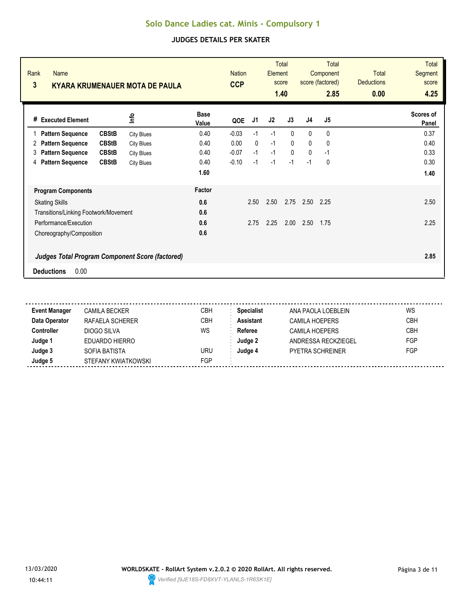| Rank<br><b>Name</b><br>3<br><b>KYARA KRUMENAUER MOTA DE PAULA</b> |                   |                      | <b>Nation</b><br><b>CCP</b> |              | <b>Element</b> | <b>Total</b><br>score<br>1.40 |                | Total<br>Component<br>score (factored)<br>2.85 | <b>Total</b><br><b>Deductions</b><br>0.00 | <b>Total</b><br><b>Segment</b><br>score<br>4.25 |
|-------------------------------------------------------------------|-------------------|----------------------|-----------------------------|--------------|----------------|-------------------------------|----------------|------------------------------------------------|-------------------------------------------|-------------------------------------------------|
| # Executed Element                                                | ۴ů                | <b>Base</b><br>Value | QOE                         | J1           | J2             | J3                            | J <sub>4</sub> | J5                                             |                                           | Scores of<br>Panel                              |
| <b>CBStB</b><br><b>Pattern Sequence</b>                           | <b>City Blues</b> | 0.40                 | $-0.03$                     | $-1$         | $-1$           | $\mathbf{0}$                  | $\mathbf{0}$   | 0                                              |                                           | 0.37                                            |
| <b>CBStB</b><br><b>Pattern Sequence</b><br>2                      | <b>City Blues</b> | 0.40                 | 0.00                        | $\mathbf{0}$ | $-1$           | $\mathbf{0}$                  | $\mathbf{0}$   | $\mathbf{0}$                                   |                                           | 0.40                                            |
| <b>CBStB</b><br><b>Pattern Sequence</b><br>3                      | <b>City Blues</b> | 0.40                 | $-0.07$                     | $-1$         | $-1$           | $\Omega$                      | $\mathbf{0}$   | $-1$                                           |                                           | 0.33                                            |
| <b>CBStB</b><br><b>Pattern Sequence</b><br>4                      | <b>City Blues</b> | 0.40                 | $-0.10$                     | $-1$         | $-1$           | $-1$                          | $-1$           | 0                                              |                                           | 0.30                                            |
|                                                                   |                   | 1.60                 |                             |              |                |                               |                |                                                |                                           | 1.40                                            |
| <b>Program Components</b>                                         |                   | Factor               |                             |              |                |                               |                |                                                |                                           |                                                 |
| <b>Skating Skills</b>                                             |                   | 0.6                  |                             | 2.50         | 2.50           | 2.75                          | 2.50           | 2.25                                           |                                           | 2.50                                            |
| Transitions/Linking Footwork/Movement                             |                   | 0.6                  |                             |              |                |                               |                |                                                |                                           |                                                 |
| Performance/Execution                                             |                   | 0.6                  |                             | 2.75         | 2.25           | 2.00                          | 2.50           | 1.75                                           |                                           | 2.25                                            |
| Choreography/Composition                                          |                   | 0.6                  |                             |              |                |                               |                |                                                |                                           |                                                 |
| <b>Judges Total Program Component Score (factored)</b>            |                   |                      |                             |              |                |                               |                |                                                |                                           | 2.85                                            |
| 0.00<br><b>Deductions</b>                                         |                   |                      |                             |              |                |                               |                |                                                |                                           |                                                 |

| <b>Event Manager</b> | <b>CAMILA BECKER</b> | <b>CBH</b> | <b>Specialist</b> | ANA PAOLA LOEBLEIN  | WS         |
|----------------------|----------------------|------------|-------------------|---------------------|------------|
| Data Operator        | RAFAELA SCHERER      | СВН        | <b>Assistant</b>  | CAMILA HOEPERS      | <b>CBH</b> |
| Controller           | DIOGO SILVA          | WS         | Referee           | CAMILA HOEPERS      | <b>CBH</b> |
| Judge 1              | EDUARDO HIERRO       |            | Judge 2           | ANDRESSA RECKZIEGEL | <b>FGP</b> |
| Judge 3              | SOFIA BATISTA        | uru        | Judge 4           | PYFTRA SCHRFINFR    | <b>FGP</b> |
| Judge 5              | STEFANY KWIATKOWSKI  | <b>FGP</b> |                   |                     |            |
|                      |                      |            |                   |                     |            |

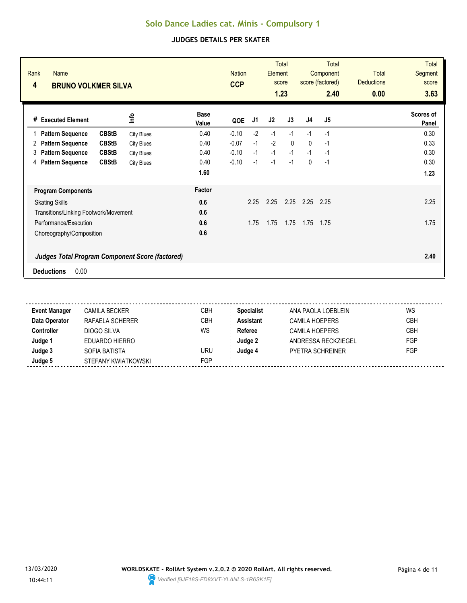| Rank<br><b>Name</b><br>4<br><b>BRUNO VOLKMER SILVA</b> |                   |                      | <b>Nation</b><br><b>CCP</b> |      | <b>Total</b><br>Element<br>score<br>1.23 |              | <b>Total</b><br>Component<br>score (factored)<br>2.40 |                | <b>Total</b><br><b>Deductions</b><br>0.00 | <b>Total</b><br>Segment<br>score<br>3.63 |
|--------------------------------------------------------|-------------------|----------------------|-----------------------------|------|------------------------------------------|--------------|-------------------------------------------------------|----------------|-------------------------------------------|------------------------------------------|
| # Executed Element                                     | <b>Info</b>       | <b>Base</b><br>Value | QOE                         | J1   | J2                                       | J3           | J <sub>4</sub>                                        | J <sub>5</sub> |                                           | <b>Scores of</b><br>Panel                |
| <b>CBStB</b><br><b>Pattern Sequence</b>                | <b>City Blues</b> | 0.40                 | $-0.10$                     | $-2$ | $-1$                                     | $-1$         | $-1$                                                  | $-1$           |                                           | 0.30                                     |
| <b>CBStB</b><br><b>Pattern Sequence</b><br>2           | <b>City Blues</b> | 0.40                 | $-0.07$                     | $-1$ | $-2$                                     | $\mathbf{0}$ | $\mathbf{0}$                                          | $-1$           |                                           | 0.33                                     |
| <b>CBStB</b><br><b>Pattern Sequence</b><br>3           | <b>City Blues</b> | 0.40                 | $-0.10$                     | $-1$ | $-1$                                     | $-1$         | $-1$                                                  | $-1$           |                                           | 0.30                                     |
| <b>Pattern Sequence</b><br><b>CBStB</b><br>4           | <b>City Blues</b> | 0.40                 | $-0.10$                     | $-1$ | $-1$                                     | $-1$         | $\mathbf{0}$                                          | $-1$           |                                           | 0.30                                     |
|                                                        |                   | 1.60                 |                             |      |                                          |              |                                                       |                |                                           | 1.23                                     |
| <b>Program Components</b>                              |                   | Factor               |                             |      |                                          |              |                                                       |                |                                           |                                          |
| <b>Skating Skills</b>                                  |                   | 0.6                  |                             | 2.25 | 2.25                                     | 2.25         | 2.25                                                  | 2.25           |                                           | 2.25                                     |
| Transitions/Linking Footwork/Movement                  |                   | 0.6                  |                             |      |                                          |              |                                                       |                |                                           |                                          |
| Performance/Execution                                  |                   | 0.6                  |                             | 1.75 | 1.75                                     | 1.75         | 1.75                                                  | 1.75           |                                           | 1.75                                     |
| Choreography/Composition                               |                   | 0.6                  |                             |      |                                          |              |                                                       |                |                                           |                                          |
| <b>Judges Total Program Component Score (factored)</b> |                   |                      |                             |      |                                          |              |                                                       |                |                                           | 2.40                                     |
| 0.00<br><b>Deductions</b>                              |                   |                      |                             |      |                                          |              |                                                       |                |                                           |                                          |

| <b>Event Manager</b> | CAMILA BECKER       | <b>CBH</b> | <b>Specialist</b> | ANA PAOLA LOEBLEIN    | WS         |
|----------------------|---------------------|------------|-------------------|-----------------------|------------|
| Data Operator        | RAFAELA SCHERER     | <b>CBH</b> | <b>Assistant</b>  | <b>CAMILA HOEPERS</b> | <b>CBH</b> |
| Controller           | DIOGO SILVA         | WS         | Referee           | <b>CAMILA HOEPERS</b> | <b>CBH</b> |
| Judge 1              | EDUARDO HIERRO      |            | Judge 2           | ANDRESSA RECKZIEGEL   | FGP        |
| Judge 3              | SOFIA BATISTA       | URU        | Judge 4           | PYFTRA SCHRFINFR      | FGP        |
| Judge 5              | STEFANY KWIATKOWSKI | FGP        |                   |                       |            |
|                      |                     |            |                   |                       |            |

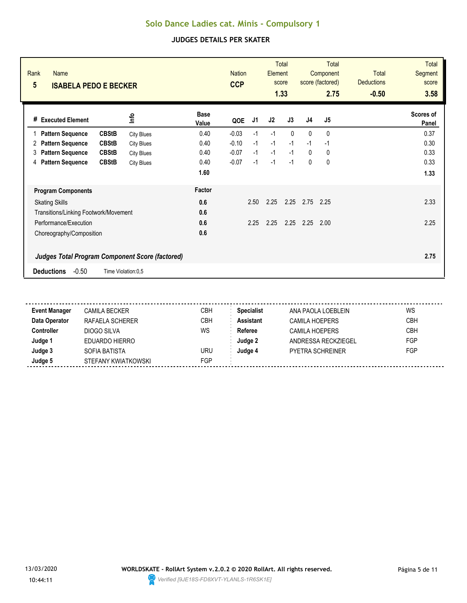| Rank<br><b>Name</b><br>$5\phantom{.0}$<br><b>ISABELA PEDO E BECKER</b> |                   | <b>Nation</b><br><b>CCP</b> |         | <b>Total</b><br>Element<br>score<br>1.33 |      | <b>Total</b><br>Component<br>score (factored)<br>2.75 |                | <b>Total</b><br><b>Deductions</b><br>$-0.50$ | <b>Total</b><br>Segment<br>score<br>3.58 |                    |
|------------------------------------------------------------------------|-------------------|-----------------------------|---------|------------------------------------------|------|-------------------------------------------------------|----------------|----------------------------------------------|------------------------------------------|--------------------|
| <b>Executed Element</b><br>#                                           | lnfo              | <b>Base</b><br>Value        | QOE     | J1                                       | J2   | J3                                                    | J <sub>4</sub> | J <sub>5</sub>                               |                                          | Scores of<br>Panel |
| <b>CBStB</b><br><b>Pattern Sequence</b><br>1                           | <b>City Blues</b> | 0.40                        | $-0.03$ | $-1$                                     | $-1$ | $\mathbf{0}$                                          | $\mathbf{0}$   | 0                                            |                                          | 0.37               |
| <b>CBStB</b><br><b>Pattern Sequence</b><br>2                           | <b>City Blues</b> | 0.40                        | $-0.10$ | $-1$                                     | $-1$ | $-1$                                                  | $-1$           | $-1$                                         |                                          | 0.30               |
| <b>CBStB</b><br><b>Pattern Sequence</b><br>3                           | <b>City Blues</b> | 0.40                        | $-0.07$ | $-1$                                     | $-1$ | $-1$                                                  | $\mathbf{0}$   | 0                                            |                                          | 0.33               |
| <b>Pattern Sequence</b><br><b>CBStB</b><br>4                           | <b>City Blues</b> | 0.40                        | $-0.07$ | $-1$                                     | $-1$ | $-1$                                                  | $\mathbf{0}$   | 0                                            |                                          | 0.33               |
|                                                                        |                   | 1.60                        |         |                                          |      |                                                       |                |                                              |                                          | 1.33               |
| <b>Program Components</b>                                              |                   | Factor                      |         |                                          |      |                                                       |                |                                              |                                          |                    |
| <b>Skating Skills</b>                                                  |                   | 0.6                         |         | 2.50                                     | 2.25 | 2.25                                                  | 2.75           | 2.25                                         |                                          | 2.33               |
| Transitions/Linking Footwork/Movement                                  |                   | 0.6                         |         |                                          |      |                                                       |                |                                              |                                          |                    |
| Performance/Execution                                                  |                   | 0.6                         |         | 2.25                                     | 2.25 | 2.25                                                  | 2.25           | 2.00                                         |                                          | 2.25               |
| Choreography/Composition                                               |                   | 0.6                         |         |                                          |      |                                                       |                |                                              |                                          |                    |
| <b>Judges Total Program Component Score (factored)</b>                 |                   |                             |         |                                          |      |                                                       |                |                                              |                                          | 2.75               |
| $-0.50$<br><b>Deductions</b><br>Time Violation:0,5                     |                   |                             |         |                                          |      |                                                       |                |                                              |                                          |                    |

| <b>Event Manager</b> | <b>CAMILA BECKER</b> | СВН        | <b>Specialist</b> | ANA PAOLA LOEBLEIN      | WS         |
|----------------------|----------------------|------------|-------------------|-------------------------|------------|
| Data Operator        | RAFAELA SCHERER      | <b>CBH</b> | <b>Assistant</b>  | <b>CAMILA HOEPERS</b>   | <b>CBH</b> |
| <b>Controller</b>    | DIOGO SILVA          | WS         | Referee           | <b>CAMILA HOEPERS</b>   | <b>CBH</b> |
| Judge 1              | EDUARDO HIERRO       |            | Judge 2           | ANDRESSA RECKZIEGEL     | FGP        |
| Judge 3              | SOFIA BATISTA        | uru        | Judge 4           | <b>PYETRA SCHREINER</b> | FGP        |
| Judge 5              | STEFANY KWIATKOWSKI  | <b>FGP</b> |                   |                         |            |

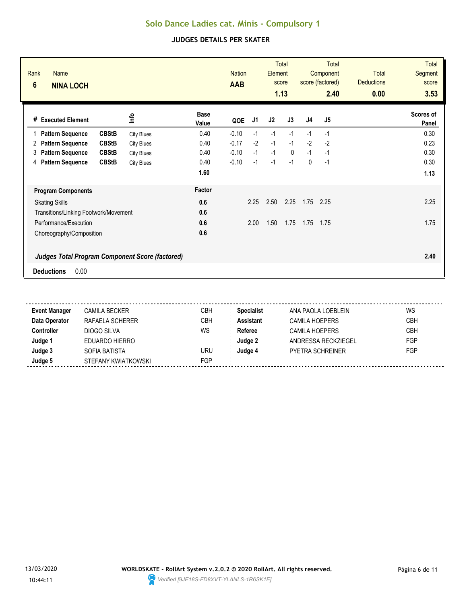| Rank<br><b>Name</b><br>$6\phantom{1}$<br><b>NINA LOCH</b> |                   |                      | <b>Nation</b><br><b>AAB</b> |      | <b>Element</b> | <b>Total</b><br>score<br>1.13 |                | <b>Total</b><br>Component<br>score (factored)<br>2.40 | <b>Total</b><br><b>Deductions</b><br>0.00 | <b>Total</b><br><b>Segment</b><br>score<br>3.53 |
|-----------------------------------------------------------|-------------------|----------------------|-----------------------------|------|----------------|-------------------------------|----------------|-------------------------------------------------------|-------------------------------------------|-------------------------------------------------|
| # Executed Element                                        | ۴ů                | <b>Base</b><br>Value | QOE                         | J1   | J2             | J3                            | J <sub>4</sub> | J <sub>5</sub>                                        |                                           | Scores of<br>Panel                              |
| <b>CBStB</b><br><b>Pattern Sequence</b>                   | <b>City Blues</b> | 0.40                 | $-0.10$                     | $-1$ | $-1$           | $-1$                          | $-1$           | $-1$                                                  |                                           | 0.30                                            |
| <b>CBStB</b><br><b>Pattern Sequence</b><br>2              | <b>City Blues</b> | 0.40                 | $-0.17$                     | $-2$ | $-1$           | $-1$                          | $-2$           | $-2$                                                  |                                           | 0.23                                            |
| <b>Pattern Sequence</b><br><b>CBStB</b><br>3              | <b>City Blues</b> | 0.40                 | $-0.10$                     | $-1$ | $-1$           | $\mathbf{0}$                  | $-1$           | $-1$                                                  |                                           | 0.30                                            |
| <b>Pattern Sequence</b><br><b>CBStB</b><br>4              | <b>City Blues</b> | 0.40                 | $-0.10$                     | $-1$ | $-1$           | $-1$                          | $\mathbf{0}$   | $-1$                                                  |                                           | 0.30                                            |
|                                                           |                   | 1.60                 |                             |      |                |                               |                |                                                       |                                           | 1.13                                            |
| <b>Program Components</b>                                 |                   | Factor               |                             |      |                |                               |                |                                                       |                                           |                                                 |
| <b>Skating Skills</b>                                     |                   | 0.6                  |                             | 2.25 | 2.50           | 2.25                          | 1.75           | 2.25                                                  |                                           | 2.25                                            |
| Transitions/Linking Footwork/Movement                     |                   | 0.6                  |                             |      |                |                               |                |                                                       |                                           |                                                 |
| Performance/Execution                                     |                   | 0.6                  |                             | 2.00 | 1.50           | 1.75                          | 1.75           | 1.75                                                  |                                           | 1.75                                            |
| Choreography/Composition                                  |                   | 0.6                  |                             |      |                |                               |                |                                                       |                                           |                                                 |
| <b>Judges Total Program Component Score (factored)</b>    |                   |                      |                             |      |                |                               |                |                                                       |                                           | 2.40                                            |
| 0.00<br><b>Deductions</b>                                 |                   |                      |                             |      |                |                               |                |                                                       |                                           |                                                 |

| <b>Event Manager</b> | CAMILA BECKER       | CBH        | <b>Specialist</b> | ANA PAOLA LOEBLEIN      | WS         |
|----------------------|---------------------|------------|-------------------|-------------------------|------------|
| Data Operator        | RAFAELA SCHERER     | CBH        | Assistant         | <b>CAMILA HOEPERS</b>   | <b>CBH</b> |
| Controller           | DIOGO SILVA         | WS         | Referee           | CAMILA HOEPERS          | <b>CBH</b> |
| Judge 1              | EDUARDO HIERRO      |            | Judge 2           | ANDRESSA RECKZIEGEL     | <b>FGP</b> |
| Judge 3              | SOFIA BATISTA       | URU        | Judge 4           | <b>PYETRA SCHREINER</b> | <b>FGP</b> |
| Judge 5              | STEFANY KWIATKOWSKI | <b>FGP</b> |                   |                         |            |

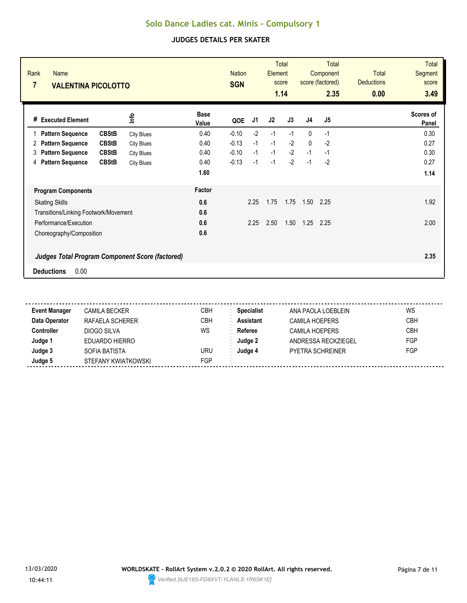| Rank<br><b>Name</b><br>$\overline{7}$<br><b>VALENTINA PICOLOTTO</b> |                   |                      | <b>Nation</b><br><b>SGN</b> |      | <b>Total</b><br>Element<br>score<br>1.14 |      | <b>Total</b><br>Component<br>score (factored)<br>2.35 |                | <b>Total</b><br><b>Deductions</b><br>0.00 | <b>Total</b><br>Segment<br>score<br>3.49 |
|---------------------------------------------------------------------|-------------------|----------------------|-----------------------------|------|------------------------------------------|------|-------------------------------------------------------|----------------|-------------------------------------------|------------------------------------------|
| # Executed Element                                                  | <b>Info</b>       | <b>Base</b><br>Value | QOE                         | J1   | J2                                       | J3   | J <sub>4</sub>                                        | J <sub>5</sub> |                                           | <b>Scores of</b><br>Panel                |
| <b>CBStB</b><br><b>Pattern Sequence</b>                             | <b>City Blues</b> | 0.40                 | $-0.10$                     | $-2$ | $-1$                                     | $-1$ | $\mathbf{0}$                                          | $-1$           |                                           | 0.30                                     |
| <b>CBStB</b><br><b>Pattern Sequence</b><br>2                        | <b>City Blues</b> | 0.40                 | $-0.13$                     | $-1$ | $-1$                                     | $-2$ | $\mathbf{0}$                                          | $-2$           |                                           | 0.27                                     |
| <b>CBStB</b><br><b>Pattern Sequence</b><br>3                        | <b>City Blues</b> | 0.40                 | $-0.10$                     | $-1$ | $-1$                                     | $-2$ | $-1$                                                  | $-1$           |                                           | 0.30                                     |
| <b>Pattern Sequence</b><br><b>CBStB</b><br>4                        | <b>City Blues</b> | 0.40                 | $-0.13$                     | $-1$ | $-1$                                     | $-2$ | $-1$                                                  | $-2$           |                                           | 0.27                                     |
|                                                                     |                   | 1.60                 |                             |      |                                          |      |                                                       |                |                                           | 1.14                                     |
| <b>Program Components</b>                                           |                   | Factor               |                             |      |                                          |      |                                                       |                |                                           |                                          |
| <b>Skating Skills</b>                                               |                   | 0.6                  |                             | 2.25 | 1.75                                     | 1.75 | 1.50                                                  | 2.25           |                                           | 1.92                                     |
| Transitions/Linking Footwork/Movement                               |                   | 0.6                  |                             |      |                                          |      |                                                       |                |                                           |                                          |
| Performance/Execution                                               |                   | 0.6                  |                             | 2.25 | 2.50                                     | 1.50 | 1.25                                                  | 2.25           |                                           | 2.00                                     |
| Choreography/Composition                                            |                   | 0.6                  |                             |      |                                          |      |                                                       |                |                                           |                                          |
| <b>Judges Total Program Component Score (factored)</b>              |                   |                      |                             |      |                                          |      |                                                       |                |                                           | 2.35                                     |
| 0.00<br><b>Deductions</b>                                           |                   |                      |                             |      |                                          |      |                                                       |                |                                           |                                          |

| <b>Event Manager</b> | <b>CAMILA BECKER</b> | CBH | <b>Specialist</b> | ANA PAOLA LOEBLEIN      | WS         |
|----------------------|----------------------|-----|-------------------|-------------------------|------------|
| Data Operator        | RAFAELA SCHERER      | CBH | <b>Assistant</b>  | <b>CAMILA HOEPERS</b>   | <b>CBH</b> |
| Controller           | DIOGO SILVA          | WS  | Referee           | <b>CAMILA HOEPERS</b>   | <b>CBH</b> |
| Judge '              | EDUARDO HIERRO       |     | Judge 2           | ANDRESSA RECKZIEGEL     | <b>FGP</b> |
| Judge 3              | SOFIA BATISTA        | URU | Judae 4           | <b>PYETRA SCHREINER</b> | <b>FGP</b> |
| Judge 5              | STEFANY KWIATKOWSKI  | FGP |                   |                         |            |

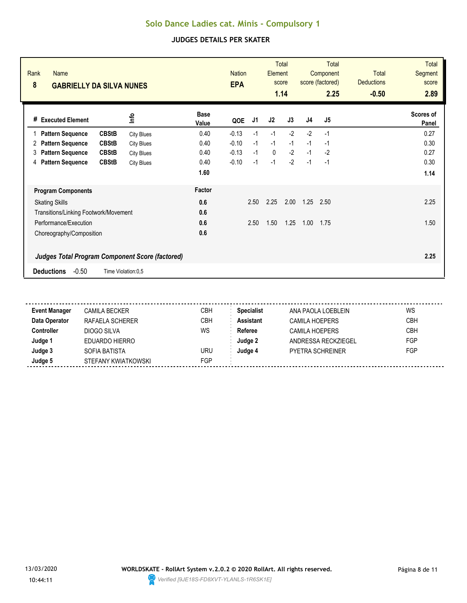| Rank<br><b>Name</b><br>8<br><b>GABRIELLY DA SILVA NUNES</b> |                   |                      | <b>Nation</b><br><b>EPA</b> |      | Element      | <b>Total</b><br>score<br>1.14 |                | <b>Total</b><br>Component<br>score (factored)<br>2.25 | <b>Total</b><br><b>Deductions</b><br>$-0.50$ | <b>Total</b><br>Segment<br>score<br>2.89 |
|-------------------------------------------------------------|-------------------|----------------------|-----------------------------|------|--------------|-------------------------------|----------------|-------------------------------------------------------|----------------------------------------------|------------------------------------------|
| <b>Executed Element</b><br>#                                | lnfo              | <b>Base</b><br>Value | QOE                         | J1   | J2           | J3                            | J <sub>4</sub> | J5                                                    |                                              | Scores of<br>Panel                       |
| <b>CBStB</b><br><b>Pattern Sequence</b>                     | <b>City Blues</b> | 0.40                 | $-0.13$                     | $-1$ | $-1$         | $-2$                          | $-2$           | $-1$                                                  |                                              | 0.27                                     |
| <b>CBStB</b><br><b>Pattern Sequence</b><br>2                | <b>City Blues</b> | 0.40                 | $-0.10$                     | $-1$ | $-1$         | $-1$                          | $-1$           | $-1$                                                  |                                              | 0.30                                     |
| <b>CBStB</b><br><b>Pattern Sequence</b><br>3                | <b>City Blues</b> | 0.40                 | $-0.13$                     | $-1$ | $\mathbf{0}$ | $-2$                          | $-1$           | $-2$                                                  |                                              | 0.27                                     |
| <b>Pattern Sequence</b><br><b>CBStB</b><br>4                | <b>City Blues</b> | 0.40                 | $-0.10$                     | $-1$ | $-1$         | $-2$                          | $-1$           | $-1$                                                  |                                              | 0.30                                     |
|                                                             |                   | 1.60                 |                             |      |              |                               |                |                                                       |                                              | 1.14                                     |
| <b>Program Components</b>                                   |                   | Factor               |                             |      |              |                               |                |                                                       |                                              |                                          |
| <b>Skating Skills</b>                                       |                   | 0.6                  |                             | 2.50 | 2.25         | 2.00                          | 1.25           | 2.50                                                  |                                              | 2.25                                     |
| Transitions/Linking Footwork/Movement                       |                   | 0.6                  |                             |      |              |                               |                |                                                       |                                              |                                          |
| Performance/Execution                                       |                   | 0.6                  |                             | 2.50 | 1.50         | 1.25                          | 1.00           | 1.75                                                  |                                              | 1.50                                     |
| Choreography/Composition                                    |                   | 0.6                  |                             |      |              |                               |                |                                                       |                                              |                                          |
| <b>Judges Total Program Component Score (factored)</b>      |                   |                      |                             |      |              |                               |                |                                                       |                                              | 2.25                                     |
| $-0.50$<br><b>Deductions</b><br>Time Violation:0,5          |                   |                      |                             |      |              |                               |                |                                                       |                                              |                                          |

| <b>Event Manager</b> | <b>CAMILA BECKER</b> | СВН        | <b>Specialist</b> | ANA PAOLA LOEBLEIN      | WS         |
|----------------------|----------------------|------------|-------------------|-------------------------|------------|
| Data Operator        | RAFAELA SCHERER      | <b>CBH</b> | <b>Assistant</b>  | <b>CAMILA HOEPERS</b>   | <b>CBH</b> |
| <b>Controller</b>    | DIOGO SILVA          | WS         | Referee           | <b>CAMILA HOEPERS</b>   | <b>CBH</b> |
| Judge 1              | EDUARDO HIERRO       |            | Judge 2           | ANDRESSA RECKZIEGEL     | FGP        |
| Judge 3              | SOFIA BATISTA        | uru        | Judge 4           | <b>PYETRA SCHREINER</b> | FGP        |
| Judge 5              | STEFANY KWIATKOWSKI  | <b>FGP</b> |                   |                         |            |

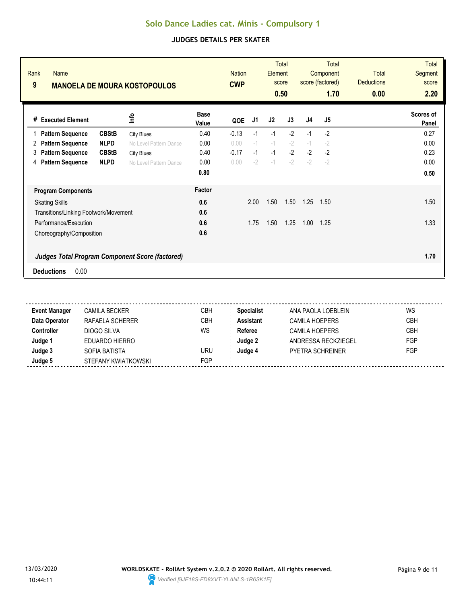| Rank<br>Name<br>9                                      |              | <b>MANOELA DE MOURA KOSTOPOULOS</b> |                      | <b>Nation</b><br><b>CWP</b> |      | Element | <b>Total</b><br>score<br>0.50 |                | Total<br>Component<br>score (factored)<br>1.70 | <b>Total</b><br><b>Deductions</b><br>0.00 | <b>Total</b><br>Segment<br>score<br>2.20 |
|--------------------------------------------------------|--------------|-------------------------------------|----------------------|-----------------------------|------|---------|-------------------------------|----------------|------------------------------------------------|-------------------------------------------|------------------------------------------|
| <b>Executed Element</b><br>#                           |              | lnfo                                | <b>Base</b><br>Value | QOE                         | J1   | J2      | J3                            | J <sub>4</sub> | J <sub>5</sub>                                 |                                           | Scores of<br>Panel                       |
| <b>Pattern Sequence</b>                                | <b>CBStB</b> | <b>City Blues</b>                   | 0.40                 | $-0.13$                     | $-1$ | $-1$    | $-2$                          | $-1$           | $-2$                                           |                                           | 0.27                                     |
| <b>Pattern Sequence</b><br>2                           | <b>NLPD</b>  | No Level Pattern Dance              | 0.00                 | 0.00                        | $-1$ | $-1$    | $-2$                          | $-1$           | $-2$                                           |                                           | 0.00                                     |
| <b>Pattern Sequence</b><br>3                           | <b>CBStB</b> | <b>City Blues</b>                   | 0.40                 | $-0.17$                     | $-1$ | $-1$    | $-2$                          | $-2$           | $-2$                                           |                                           | 0.23                                     |
| <b>Pattern Sequence</b><br>4                           | <b>NLPD</b>  | No Level Pattern Dance              | 0.00                 | 0.00                        | $-2$ | $-1$    | $-2$                          | $-2$           | $-2$                                           |                                           | 0.00                                     |
|                                                        |              |                                     | 0.80                 |                             |      |         |                               |                |                                                |                                           | 0.50                                     |
| <b>Program Components</b>                              |              |                                     | Factor               |                             |      |         |                               |                |                                                |                                           |                                          |
| <b>Skating Skills</b>                                  |              |                                     | 0.6                  |                             | 2.00 | 1.50    | 1.50                          | 1.25           | 1.50                                           |                                           | 1.50                                     |
| Transitions/Linking Footwork/Movement                  |              |                                     | 0.6                  |                             |      |         |                               |                |                                                |                                           |                                          |
| Performance/Execution                                  |              |                                     | 0.6                  |                             | 1.75 | 1.50    | 1.25                          | 1.00           | 1.25                                           |                                           | 1.33                                     |
| Choreography/Composition                               |              |                                     | 0.6                  |                             |      |         |                               |                |                                                |                                           |                                          |
| <b>Judges Total Program Component Score (factored)</b> |              |                                     |                      |                             |      |         |                               |                |                                                |                                           | 1.70                                     |
| 0.00<br><b>Deductions</b>                              |              |                                     |                      |                             |      |         |                               |                |                                                |                                           |                                          |

| <b>Event Manager</b> | CAMILA BECKER       | <b>CBH</b> | <b>Specialist</b> | ANA PAOLA LOEBLEIN      | WS         |
|----------------------|---------------------|------------|-------------------|-------------------------|------------|
| Data Operator        | RAFAELA SCHERER     | <b>CBH</b> | <b>Assistant</b>  | <b>CAMILA HOEPERS</b>   | <b>CBH</b> |
| Controller           | DIOGO SILVA         | WS         | Referee           | <b>CAMILA HOEPERS</b>   | <b>CBH</b> |
| Judge 1              | EDUARDO HIERRO      |            | Judge 2           | ANDRESSA RECKZIEGEL     | FGP        |
| Judge 3              | SOFIA BATISTA       | URU        | Judge 4           | <b>PYFTRA SCHREINER</b> | FGP        |
| Judge 5              | STEFANY KWIATKOWSKI | FGP        |                   |                         |            |

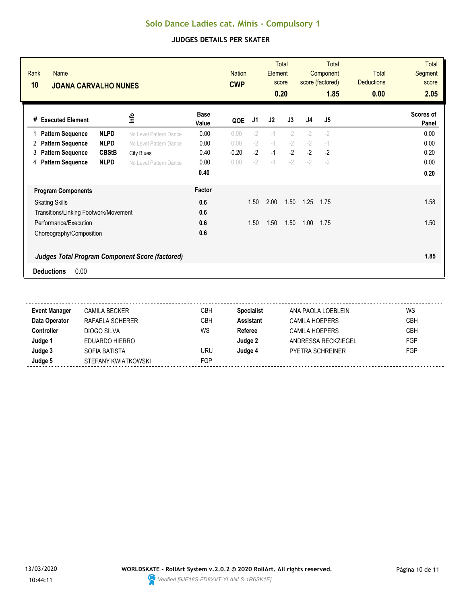| Rank<br><b>Name</b><br>10<br><b>JOANA CARVALHO NUNES</b> |                        |                      | <b>Nation</b><br><b>CWP</b> |      | Element | <b>Total</b><br>score<br>0.20 |                | Total<br>Component<br>score (factored)<br>1.85 | <b>Total</b><br><b>Deductions</b><br>0.00 | <b>Total</b><br>Segment<br>score<br>2.05 |
|----------------------------------------------------------|------------------------|----------------------|-----------------------------|------|---------|-------------------------------|----------------|------------------------------------------------|-------------------------------------------|------------------------------------------|
| # Executed Element                                       | <b>Shul</b>            | <b>Base</b><br>Value | QOE                         | J1   | J2      | J3                            | J <sub>4</sub> | J <sub>5</sub>                                 |                                           | Scores of<br>Panel                       |
| <b>NLPD</b><br><b>Pattern Sequence</b>                   | No Level Pattern Dance | 0.00                 | 0.00                        | $-2$ | $-1$    | $-2$                          | $-2$           | $-2$                                           |                                           | 0.00                                     |
| <b>NLPD</b><br><b>Pattern Sequence</b><br>2              | No Level Pattern Dance | 0.00                 | 0.00                        | $-2$ | $-1$    | $-2$                          | $-2$           | $-1$                                           |                                           | 0.00                                     |
| <b>CBStB</b><br><b>Pattern Sequence</b><br>3             | <b>City Blues</b>      | 0.40                 | $-0.20$                     | $-2$ | $-1$    | $-2$                          | $-2$           | $-2$                                           |                                           | 0.20                                     |
| <b>NLPD</b><br><b>Pattern Sequence</b><br>4              | No Level Pattern Dance | 0.00                 | 0.00                        | $-2$ | $-1$    | $-2$                          | $-2$           | $-2$                                           |                                           | 0.00                                     |
|                                                          |                        | 0.40                 |                             |      |         |                               |                |                                                |                                           | 0.20                                     |
| <b>Program Components</b>                                |                        | Factor               |                             |      |         |                               |                |                                                |                                           |                                          |
| <b>Skating Skills</b>                                    |                        | 0.6                  |                             | 1.50 | 2.00    | 1.50                          | 1.25           | 1.75                                           |                                           | 1.58                                     |
| Transitions/Linking Footwork/Movement                    |                        | 0.6                  |                             |      |         |                               |                |                                                |                                           |                                          |
| Performance/Execution                                    |                        | 0.6                  |                             | 1.50 | 1.50    | 1.50                          | 1.00           | 1.75                                           |                                           | 1.50                                     |
| Choreography/Composition                                 |                        | 0.6                  |                             |      |         |                               |                |                                                |                                           |                                          |
| <b>Judges Total Program Component Score (factored)</b>   |                        |                      |                             |      |         |                               |                |                                                |                                           | 1.85                                     |
| 0.00<br><b>Deductions</b>                                |                        |                      |                             |      |         |                               |                |                                                |                                           |                                          |

| <b>Event Manager</b> | CAMILA BECKER       | <b>CBH</b> | <b>Specialist</b> | ANA PAOLA LOEBLEIN      | WS         |
|----------------------|---------------------|------------|-------------------|-------------------------|------------|
| Data Operator        | RAFAELA SCHERER     | <b>CBH</b> | <b>Assistant</b>  | <b>CAMILA HOEPERS</b>   | <b>CBH</b> |
| Controller           | DIOGO SILVA         | WS         | Referee           | <b>CAMILA HOEPERS</b>   | <b>CBH</b> |
| Judge 1              | EDUARDO HIERRO      |            | Judge 2           | ANDRESSA RECKZIEGEL     | FGP        |
| Judge 3              | SOFIA BATISTA       | URU        | Judge 4           | <b>PYFTRA SCHREINER</b> | FGP        |
| Judge 5              | STEFANY KWIATKOWSKI | FGP        |                   |                         |            |